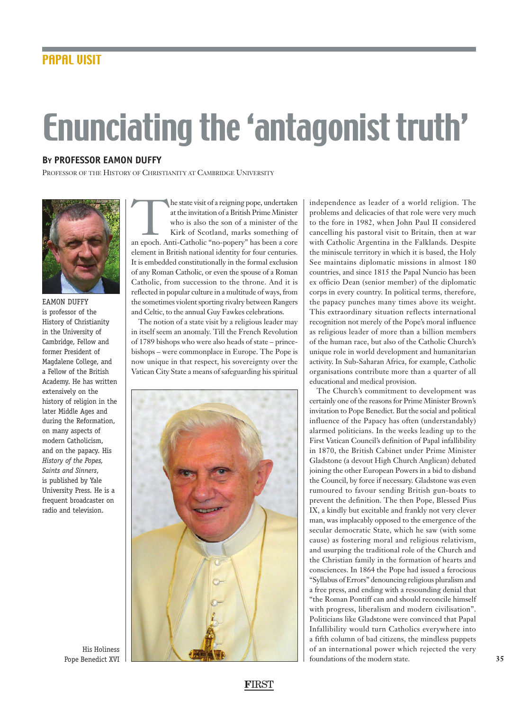## Enunciating the 'antagonist truth'

## **BY PROFESSOR EAMON DUFFY**

PROFESSOR OF THE HISTORY OF CHRISTIANITY AT CAMBRIDGE UNIVERSITY



EAMON DUFFY is professor of the History of Christianity in the University of Cambridge, Fellow and former President of Magdalene College, and a Fellow of the British Academy. He has written extensively on the history of religion in the later Middle Ages and during the Reformation, on many aspects of modern Catholicism, and on the papacy. His *History of the Popes, Saints and Sinners*, is published by Yale University Press. He is a frequent broadcaster on radio and television.

His Holiness

The state visit of a reigning pope, undertaken<br>
at the invitation of a British Prime Minister<br>
who is also the son of a minister of the<br>
Kirk of Scotland, marks something of<br>
an epoch. Anti-Catholic "no-popery" has been a at the invitation of a British Prime Minister who is also the son of a minister of the Kirk of Scotland, marks something of element in British national identity for four centuries. It is embedded constitutionally in the formal exclusion of any Roman Catholic, or even the spouse of a Roman Catholic, from succession to the throne. And it is reflected in popular culture in a multitude of ways, from the sometimes violent sporting rivalry between Rangers and Celtic, to the annual Guy Fawkes celebrations.

The notion of a state visit by a religious leader may in itself seem an anomaly. Till the French Revolution of 1789 bishops who were also heads of state – princebishops – were commonplace in Europe. The Pope is now unique in that respect, his sovereignty over the Vatican City State a means of safeguarding his spiritual



independence as leader of a world religion. The problems and delicacies of that role were very much to the fore in 1982, when John Paul II considered cancelling his pastoral visit to Britain, then at war with Catholic Argentina in the Falklands. Despite the miniscule territory in which it is based, the Holy See maintains diplomatic missions in almost 180 countries, and since 1815 the Papal Nuncio has been ex officio Dean (senior member) of the diplomatic corps in every country. In political terms, therefore, the papacy punches many times above its weight. This extraordinary situation reflects international recognition not merely of the Pope's moral influence as religious leader of more than a billion members of the human race, but also of the Catholic Church's unique role in world development and humanitarian activity. In Sub-Saharan Africa, for example, Catholic organisations contribute more than a quarter of all educational and medical provision.

The Church's commitment to development was certainly one of the reasons for Prime Minister Brown's invitation to Pope Benedict. But the social and political influence of the Papacy has often (understandably) alarmed politicians. In the weeks leading up to the First Vatican Council's definition of Papal infallibility in 1870, the British Cabinet under Prime Minister Gladstone (a devout High Church Anglican) debated joining the other European Powers in a bid to disband the Council, by force if necessary. Gladstone was even rumoured to favour sending British gun-boats to prevent the definition. The then Pope, Blessed Pius IX, a kindly but excitable and frankly not very clever man, was implacably opposed to the emergence of the secular democratic State, which he saw (with some cause) as fostering moral and religious relativism, and usurping the traditional role of the Church and the Christian family in the formation of hearts and consciences. In 1864 the Pope had issued a ferocious "Syllabus of Errors" denouncing religious pluralism and a free press, and ending with a resounding denial that "the Roman Pontiff can and should reconcile himself with progress, liberalism and modern civilisation". Politicians like Gladstone were convinced that Papal Infallibility would turn Catholics everywhere into a fifth column of bad citizens, the mindless puppets of an international power which rejected the very